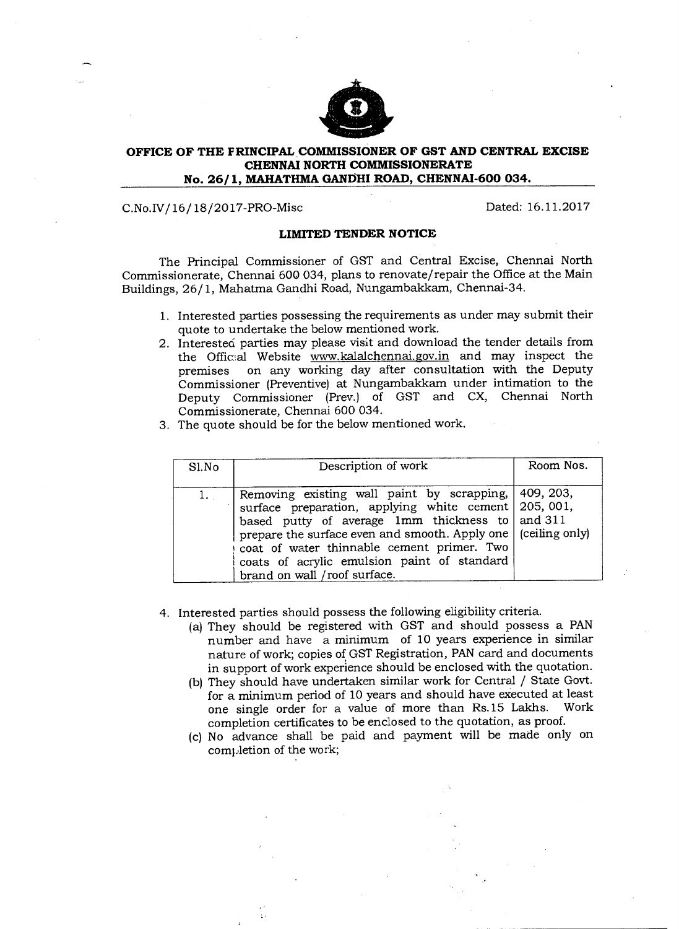

## **OFFICE OF THE PRINCIPAL COMMISSIONER OF GST AND CENTRAL EXCISE CHENNAI NORTH COMMISSIONERATE No. 26/1, MAHATHMA GANDHI ROAD, CHENNAI-600 034.**

## C.No.IV/16/18/2017-PRO-Misc Dated: 16.11.2017

## **LIMITED TENDER NOTICE**

The Principal Commissioner of GST and Central Excise, Chennai North Commissionerate, Chennai 600 034, plans to renovate/repair the Office at the Main Buildings, 26/1, Mahatma Gandhi Road, Nungambakkam, Chennai-34.

- 1. Interested parties possessing the requirements as under may submit their quote to undertake the below mentioned work.
- 2. Interested parties may please visit and download the tender details from the Official Website www.kalalchennai.gov.in and may inspect the premises on any working day after consultation with the Deputy Commissioner (Preventive) at Nungambakkam under intimation to the Deputy Commissioner (Prey.) of GST and CX, Chennai North Commissionerate, Chennai 600 034.
- 3. The quote should be for the below mentioned work.

| S1.No | Description of work                                                                                                                                                                                                                                                                                                                                                | Room Nos. |
|-------|--------------------------------------------------------------------------------------------------------------------------------------------------------------------------------------------------------------------------------------------------------------------------------------------------------------------------------------------------------------------|-----------|
|       | Removing existing wall paint by scrapping, 409, 203,<br>surface preparation, applying white cement   205, 001,<br>based putty of average 1mm thickness to and 311<br>prepare the surface even and smooth. Apply one   (ceiling only)<br>coat of water thinnable cement primer. Two<br>coats of acrylic emulsion paint of standard<br>brand on wall / roof surface. |           |

4. Interested parties should possess the following eligibility criteria.

- (a) They should be registered with GST and should possess a PAN number and have a minimum of 10 years experience in similar nature of work; copies of GST Registration, PAN card and documents in support of work experience should be enclosed with the quotation.
- (b) They should have undertaken similar work for Central / State Govt. for a minimum period of 10 years and should have executed at least one single order for a value of more than Rs.15 Lakhs. Work completion certificates to be enclosed to the quotation, as proof.
- (c) No advance shall be paid and payment will be made only on completion of the work;